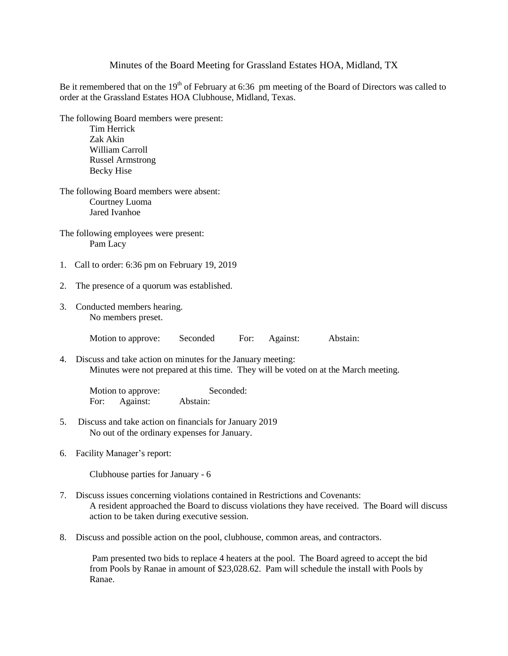## Minutes of the Board Meeting for Grassland Estates HOA, Midland, TX

Be it remembered that on the 19<sup>th</sup> of February at 6:36 pm meeting of the Board of Directors was called to order at the Grassland Estates HOA Clubhouse, Midland, Texas.

The following Board members were present: Tim Herrick Zak Akin

> William Carroll Russel Armstrong Becky Hise

The following Board members were absent: Courtney Luoma Jared Ivanhoe

The following employees were present: Pam Lacy

- 1. Call to order: 6:36 pm on February 19, 2019
- 2. The presence of a quorum was established.
- 3. Conducted members hearing. No members preset.

Motion to approve: Seconded For: Against: Abstain:

4. Discuss and take action on minutes for the January meeting: Minutes were not prepared at this time. They will be voted on at the March meeting.

Motion to approve: Seconded: For: Against: Abstain:

- 5. Discuss and take action on financials for January 2019 No out of the ordinary expenses for January.
- 6. Facility Manager's report:

Clubhouse parties for January - 6

- 7. Discuss issues concerning violations contained in Restrictions and Covenants: A resident approached the Board to discuss violations they have received. The Board will discuss action to be taken during executive session.
- 8. Discuss and possible action on the pool, clubhouse, common areas, and contractors.

Pam presented two bids to replace 4 heaters at the pool. The Board agreed to accept the bid from Pools by Ranae in amount of \$23,028.62. Pam will schedule the install with Pools by Ranae.